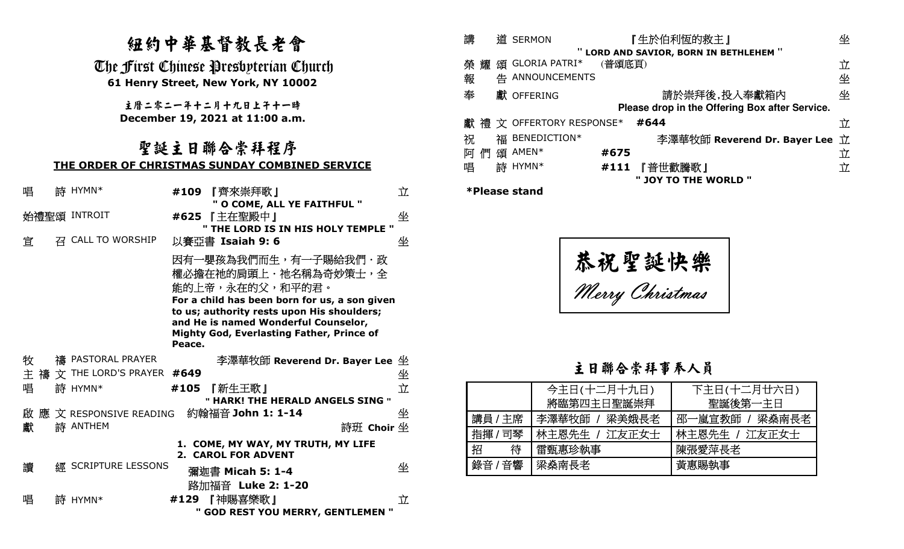# 紐約中華基督教長老會

# 聖誕主日聯合崇拜程序**THE ORDER OF CHRISTMAS SUNDAY COMBINED SERVICE**

|                                                                                                                                       |  |                                               | 纽约中華基督教長老會                                                                                                                                                                                                           | 講<br>道 SERMON                                                                             | 『生於伯利恆的救主』                                                                                                                 | 坐                                        |
|---------------------------------------------------------------------------------------------------------------------------------------|--|-----------------------------------------------|----------------------------------------------------------------------------------------------------------------------------------------------------------------------------------------------------------------------|-------------------------------------------------------------------------------------------|----------------------------------------------------------------------------------------------------------------------------|------------------------------------------|
| The First Chinese Presbyterian Church<br>61 Henry Street, New York, NY 10002<br>主曆二零二一年十二月十九日上干十一時<br>December 19, 2021 at 11:00 a.m. |  |                                               |                                                                                                                                                                                                                      | 榮耀頌 GLORIA PATRI*<br>告 ANNOUNCEMENTS<br>報<br>奉<br>獻 OFFERING<br>獻 禮 文 OFFERTORY RESPONSE* | " LORD AND SAVIOR, BORN IN BETHLEHEM "<br>(普頌底頁)<br>請於崇拜後,投入奉獻箱內<br>Please drop in the Offering Box after Service.<br>#644 | 立<br>坐<br>坐<br>立                         |
|                                                                                                                                       |  |                                               | 聖誕主日聯合崇拜程序<br>THE ORDER OF CHRISTMAS SUNDAY COMBINED SERVICE                                                                                                                                                         | 福 BENEDICTION*<br>祝<br>阿們頌 AMEN*<br>詩 HYMN*<br>唱                                          | #675<br>『普世歡騰歌』<br>#111                                                                                                    | 李澤華牧師 Reverend Dr. Bayer Lee 立<br>立<br>立 |
| 唱<br>宜                                                                                                                                |  | 詩 HYMN*<br>始禮聖頌 INTROIT<br>召 CALL TO WORSHIP  | #109 『齊來崇拜歌』<br>" O COME, ALL YE FAITHFUL "<br>#625 【主在聖殿中】<br>" THE LORD IS IN HIS HOLY TEMPLE "<br>以賽亞書 Isaiah 9:6<br>因有一嬰孩為我們而生,有一子賜給我們・政<br>權必擔在祂的肩頭上·祂名稱為奇妙策士,全                                                 | 立<br><b>*Please stand</b><br>坐<br>坐                                                       | " JOY TO THE WORLD "<br>恭祝聖誕快樂                                                                                             |                                          |
|                                                                                                                                       |  |                                               | 能的上帝,永在的父,和平的君。<br>For a child has been born for us, a son given<br>to us; authority rests upon His shoulders;<br>and He is named Wonderful Counselor,<br><b>Mighty God, Everlasting Father, Prince of</b><br>Peace. |                                                                                           | Merry Christmas                                                                                                            |                                          |
| 牧                                                                                                                                     |  | 禱 PASTORAL PRAYER<br>文 THE LORD'S PRAYER #649 | 李澤華牧師 Reverend Dr. Bayer Lee 坐                                                                                                                                                                                       |                                                                                           | 主日聯合崇拜事奉人員                                                                                                                 |                                          |
| 主 禱<br>唱                                                                                                                              |  | 詩 HYMN*                                       | 『新生王歌』<br>#105<br>" HARK! THE HERALD ANGELS SING "                                                                                                                                                                   | 坐<br>立                                                                                    | 今主日(十二月十九日)<br>將臨第四主日聖誕崇拜                                                                                                  | 下主日(十二月廿六日)<br>聖誕後第一主日                   |
| 啟 應<br>獻                                                                                                                              |  | 文 RESPONSIVE READING<br>詩 ANTHEM              | 約翰福音 John 1: 1-14<br>詩班 Choir 坐                                                                                                                                                                                      | 坐<br>講員 / 主席<br>指揮/司琴                                                                     | 李澤華牧師<br>梁美娥長老<br>-嵐宣教師 /<br>邵<br>林主恩先生 / 江友正女士                                                                            | 梁燊南長老<br>林主恩先生 / 江友正女士                   |
| 讀                                                                                                                                     |  | <b>經 SCRIPTURE LESSONS</b>                    | 1. COME, MY WAY, MY TRUTH, MY LIFE<br>2. CAROL FOR ADVENT<br>彌迦書 Micah 5: 1-4                                                                                                                                        | 招<br>待<br>錄音 / 音響<br>坐                                                                    | 陳張愛萍長老<br>雷甄惠珍執事<br>梁燊南長老<br>黃惠賜執事                                                                                         |                                          |
| 唱                                                                                                                                     |  | 詩 HYMN*                                       | 路加福音 Luke 2: 1-20<br>#129 『神賜喜樂歌』<br>" GOD REST YOU MERRY, GENTLEMEN "                                                                                                                                               | 立                                                                                         |                                                                                                                            |                                          |

| 講 |   |   | 道 SERMON                             | 『生於伯利恆的救主』 |                                                | 坐 |
|---|---|---|--------------------------------------|------------|------------------------------------------------|---|
|   |   |   | LORD AND SAVIOR, BORN IN BETHLEHEM " |            |                                                |   |
| 榮 | 耀 |   | 頒 GLORIA PATRI*                      | (普頌底頁)     |                                                | 立 |
| 報 |   | 告 | ANNOUNCEMENTS                        |            |                                                | 坐 |
| 奉 |   |   | 獻 OFFERING                           |            | 請於崇拜後,投入奉獻箱内                                   | 坐 |
|   |   |   |                                      |            | Please drop in the Offering Box after Service. |   |
|   |   |   | 獻 禮 文 OFFERTORY RESPONSE*            |            | #644                                           | 立 |
| 祝 |   |   | 福 BENEDICTION*                       |            | 李澤華牧師 Reverend Dr. Bayer Lee 立                 |   |
| 阿 |   |   | 頌 AMEN*                              | #675       |                                                | 立 |
| 唱 |   |   | 詩 HYMN*                              | #111       | 『普世歡騰歌』                                        | 立 |
|   |   |   |                                      |            | <b>10Y TO THE WORLD "</b>                      |   |

|         | 今主日(十二月十九日)<br>將臨第四主日聖誕崇拜 | 下主日(十二月廿六日)<br>聖誕後第一主日 |
|---------|---------------------------|------------------------|
| 講員 / 主席 | 李澤華牧師 / 梁美娥長老             | 邵一嵐宣教師 / 梁燊南長老         |
| 指揮 / 司琴 | 林主恩先生 / 江友正女士             | 林主恩先生 / 江友正女士          |
| 待<br>招  | 雷甄惠珍執事                    | 陳張愛萍長老                 |
| 錄音 / 音響 | 梁燊南長老                     | 黃惠賜執事                  |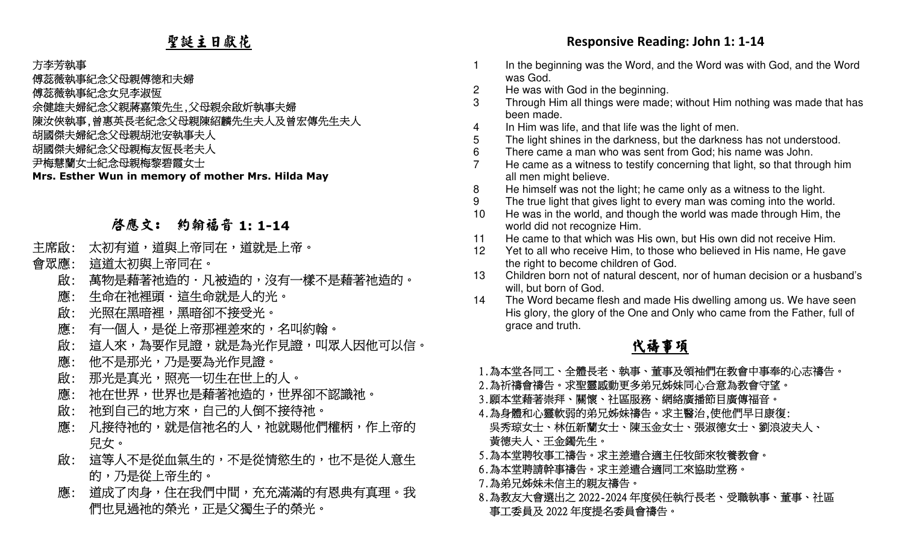# 聖誕主日獻花

### 方李芳執事

傅蕊薇執事紀念父母親傅德和夫婦

傅蕊薇執事紀念女兒李淑恆

余健雄夫婦紀念父親蔣嘉策先生,父母親余啟炘執事夫婦

陳汝俠執事,曾惠英長老紀念父母親陳紹麟先生夫人及曾宏傳先生夫人

胡國傑夫婦紀念父母親胡池安執事夫人

胡國傑夫婦紀念父母親梅友恆長老夫人

尹梅慧蘭女士紀念母親梅黎碧霞女士

**Mrs. Esther Wun in memory of mother Mrs. Hilda May**

# 啟應文: 約翰福音 **1: 1-14**

- 主席啟: 太 初有道,道與上帝同在,道就是上帝。」
- 會眾應: 這 道太初與上帝同在。
	- 萬物是藉著祂造的·凡被造的,沒有一樣不是藉著祂造的。 啟:
	- 生命在祂裡頭・這生命就是人的光。」 應:
	- 光照在黑暗裡,黑暗卻不接受光。 啟:
- 應: 有一個人,是從上帝那裡差來的,名叫約翰。
	- 這人來,為要作見證,就是為光作見證,叫眾人因他可以信。 啟:
	- 他不是那光,乃是要為光作見證。 應:
	- 那光是真光,照亮一切生在世上的人。 啟:
	- 祂在世界,世界也是藉著祂造的,世界卻不認識祂。 應:
	- 祂到自己的地方來,自己的人倒不接待祂。 \_ 啟:
- 凡接待祂的,就是信祂名的人,祂就賜他們權柄,作上帝的 應: 兒女。
- 啟: 這等人不是從血氣生的,不是從情慾生的,也不是從人意生 的,乃是從上帝生的。
- 應: 道成了肉身,住在我們中間,充充滿滿的有恩典有真理。我 們也見過祂的榮光,正是父獨生子的榮光。

- 1 In the beginning was the Word, and the Word was with God, and the Word was God.
- 2 He was with God in the beginning.
- 3 Through Him all things were made; without Him nothing was made that has been made.
- 4 In Him was life, and that life was the light of men.
- 5 The light shines in the darkness, but the darkness has not understood.
- 6 There came a man who was sent from God; his name was John.
- 7 He came as a witness to testify concerning that light, so that through him all men might believe.
- 8 He himself was not the light; he came only as a witness to the light.
- 9 The true light that gives light to every man was coming into the world.
- 10 He was in the world, and though the world was made through Him, the world did not recognize Him.
- 11 He came to that which was His own, but His own did not receive Him.
- 12 Yet to all who receive Him, to those who believed in His name, He gave the right to become children of God.
- 13 Children born not of natural descent, nor of human decision or a husband's will, but born of God.
- 14 The Word became flesh and made His dwelling among us. We have seen His glory, the glory of the One and Only who came from the Father, full of grace and truth.

### **化学的**中心的 化学生的 化 禱事項

- 1.為本堂各同工、全體長老、執事、董事及領袖們在教會中事奉的心志禱告。
- 2.為祈禱會禱告。求聖靈感動更多弟兄姊妹同心合意為教會守望。
- 3.願本堂藉著崇拜、關懷、社區服務、網絡廣播節目廣傳福音。
- Responsive Reading: John 1: 1-14<br>
<br>
RESPONSE REAGAN STRANGER THE SPONSIVE REAGANT STRANGER THE SPONSIVE REAGANT STRANGER THE SPONSIVE REAGANT<br>
 THE SPONSE REAGANT STRANGER THE SPONSIVE REAGANT STRANGER THE SP 4.為身體和心靈軟弱的弟兄姊妹禱告。求主醫治,使他們早日康復: 吳秀琼女士、林伍新蘭女士、陳玉金女士、張淑德女士、劉浪波夫人、 黃德夫人、王金鐲先生。
	- 5.為本堂聘牧事工禱告。求主差遣合適主任牧師來牧養教會。
	- 6.為本堂聘請幹事禱告。求主差遣合適同工來協助堂務。
	- 7.為弟兄姊妹未信主的親友禱告。
	- 8.為教友大會選出之2022-2024年度侯任執行長老、受職執事、董事、社區 事工委員及2022年度提名委員會禱告。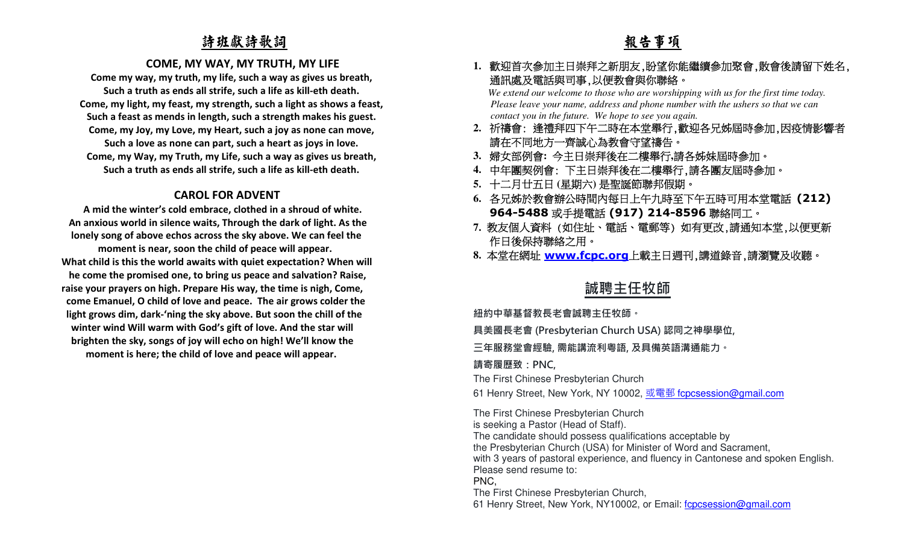## 詩班獻詩歌詞

### **COME, MY WAY, MY TRUTH, MY LIFE**

**Come my way, my truth, my life, such a way as gives us breath, Such a truth as ends all strife, such a life as kill-eth death. Come, my light, my feast, my strength, such a light as shows a feast, Such a feast as mends in length, such a strength makes his guest. Come, my Joy, my Love, my Heart, such a joy as none can move, Such a love as none can part, such a heart as joys in love. Come, my Way, my Truth, my Life, such a way as gives us breath, Such a truth as ends all strife, such a life as kill-eth death.** 

### **CAROL FOR ADVENT**

 **A mid the winter's cold embrace, clothed in a shroud of white. An anxious world in silence waits, Through the dark of light. As the lonely song of above echos across the sky above. We can feel the moment is near, soon the child of peace will appear. What child is this the world awaits with quiet expectation? When will he come the promised one, to bring us peace and salvation? Raise, raise your prayers on high. Prepare His way, the time is nigh, Come, come Emanuel, O child of love and peace. The air grows colder the light grows dim, dark-'ning the sky above. But soon the chill of the winter wind Will warm with God's gift of love. And the star will brighten the sky, songs of joy will echo on high! We'll know the moment is here; the child of love and peace will appear.** 

# 報告事項

# **1.** 歡迎首次參加主日崇拜之新朋友,盼望你能繼續參加聚會,散會後請留下姓名, 通訊處及電話與司事,以便教會與你聯絡。

*We extend our welcome to those who are worshipping with us for the first time today. Please leave your name, address and phone number with the ushers so that we can contact you in the future. We hope to see you again.*

- **2.** 祈禱會: 逢禮拜四下午二時在本堂舉行,歡迎各兄姊屆時參加,因疫情影響者 請在不同地方一齊誠心為教會守望禱告。
- **3.** 婦女部例會**:** 今主日崇拜後在二樓舉行**,**請各姊妹屆時參加。
- **4.** 中年團契例會: 下主日崇拜後在二樓舉行,請各團友屆時參加。
- **5.** 十二月廿五日 **(**星期六**)** 是聖誕節聯邦假期。
- **6.** 各兄姊於教會辦公時間內每日上午九時至下午五時可用本堂電話 **(212) 964-5488 或手提電話 (917) 214-8596 聯絡同工。**
- 7. 教友個人資料 (如住址、電話、電郵等) 如有更改,請通知本堂,以便更新<br>作日後保持聯絡之用。
- **8.** 本堂在網址 **www.fcpc.org**上載主日週刊,講道錄音,請瀏覽及收聽。

# **誠聘主任牧師**

**紐約中華基督教⻑老會誠聘主任牧師。**

**具美國⻑老會 (Presbyterian Church USA) 認同之神學學位,** 

**三年服務堂會經驗, 需能講流利粵語, 及具備英語溝通能力。** 

### **請寄履歷致:PNC,**

The First Chinese Presbyterian Church

61 Henry Street, New York, NY 10002, <u>或電郵 fcpcsession@gmail.com</u>

The First Chinese Presbyterian Church is seeking a Pastor (Head of Staff). The candidate should possess qualifications acceptable by the Presbyterian Church (USA) for Minister of Word and Sacrament, with 3 years of pastoral experience, and fluency in Cantonese and spoken English.Please send resume to: PNC,

The First Chinese Presbyterian Church,

61 Henry Street, New York, NY10002, or Email: fcpcsession@gmail.com